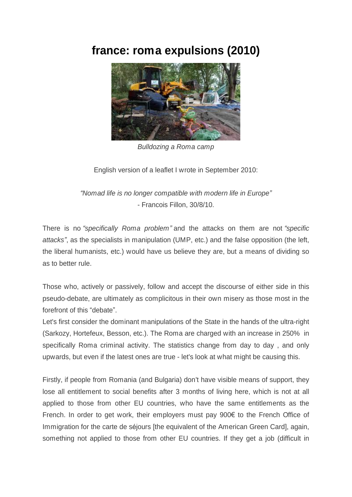## **france: roma expulsions (2010)**



*Bulldozing a Roma camp*

English version of a leaflet I wrote in September 2010:

*³Nomad life is no longer compatible with modern life in Europe´* - Francois Fillon, 30/8/10.

There is no "*specifically Roma problem*" and the attacks on them are not "*specific attacks´*, as the specialists in manipulation (UMP, etc.) and the false opposition (the left, the liberal humanists, etc.) would have us believe they are, but a means of dividing so as to better rule.

Those who, actively or passively, follow and accept the discourse of either side in this pseudo-debate, are ultimately as complicitous in their own misery as those most in the forefront of this "debate".

Let's first consider the dominant manipulations of the State in the hands of the ultra-right (Sarkozy, Hortefeux, Besson, etc.). The Roma are charged with an increase in 250% in specifically Roma criminal activity. The statistics change from day to day , and only upwards, but even if the latest ones are true - let's look at what might be causing this.

Firstly, if people from Romania (and Bulgaria) don't have visible means of support, they lose all entitlement to social benefits after 3 months of living here, which is not at all applied to those from other EU countries, who have the same entitlements as the French. In order to get work, their employers must pay  $900 \epsilon$  to the French Office of Immigration for the carte de séjours [the equivalent of the American Green Card], again, something not applied to those from other EU countries. If they get a job (difficult in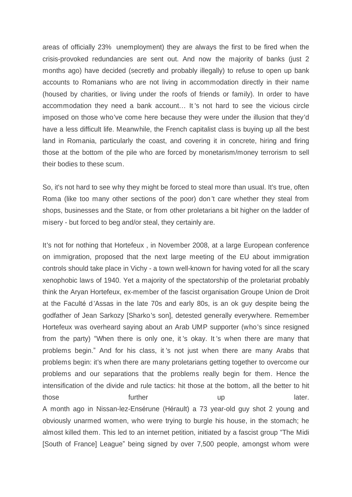areas of officially 23% unemployment) they are always the first to be fired when the crisis-provoked redundancies are sent out. And now the majority of banks (just 2 months ago) have decided (secretly and probably illegally) to refuse to open up bank accounts to Romanians who are not living in accommodation directly in their name (housed by charities, or living under the roofs of friends or family). In order to have accommodation they need a bank account... It 's not hard to see the vicious circle imposed on those who've come here because they were under the illusion that they'd have a less difficult life. Meanwhile, the French capitalist class is buying up all the best land in Romania, particularly the coast, and covering it in concrete, hiring and firing those at the bottom of the pile who are forced by monetarism/money terrorism to sell their bodies to these scum.

So, it's not hard to see why they might be forced to steal more than usual. It's true, often Roma (like too many other sections of the poor) don 't care whether they steal from shops, businesses and the State, or from other proletarians a bit higher on the ladder of misery - but forced to beg and/or steal, they certainly are.

It's not for nothing that Hortefeux , in November 2008, at a large European conference on immigration, proposed that the next large meeting of the EU about immigration controls should take place in Vichy - a town well-known for having voted for all the scary xenophobic laws of 1940. Yet a majority of the spectatorship of the proletariat probably think the Aryan Hortefeux, ex-member of the fascist organisation Groupe Union de Droit at the Faculté d Assas in the late 70s and early 80s, is an ok guy despite being the godfather of Jean Sarkozy [Sharko's son], detested generally everywhere. Remember Hortefeux was overheard saying about an Arab UMP supporter (who's since resigned from the party) "When there is only one, it 's okay. It 's when there are many that problems begin." And for his class, it 's not just when there are many Arabs that problems begin: it's when there are many proletarians getting together to overcome our problems and our separations that the problems really begin for them. Hence the intensification of the divide and rule tactics: hit those at the bottom, all the better to hit those **the further** those later. A month ago in Nissan-lez-Ensérune (Hérault) a 73 year-old guy shot 2 young and obviously unarmed women, who were trying to burgle his house, in the stomach; he almost killed them. This led to an internet petition, initiated by a fascist group "The Midi [South of France] League" being signed by over 7,500 people, amongst whom were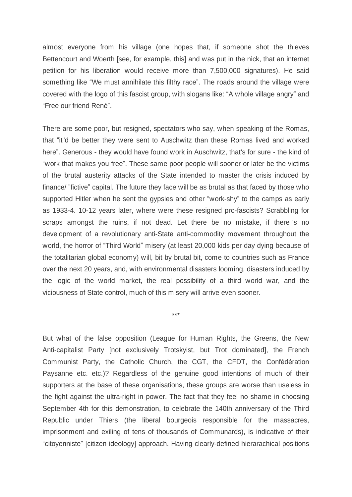almost everyone from his village (one hopes that, if someone shot the thieves Bettencourt and Woerth [see, for example, this] and was put in the nick, that an internet petition for his liberation would receive more than 7,500,000 signatures). He said something like "We must annihilate this filthy race". The roads around the village were covered with the logo of this fascist group, with slogans like: "A whole village angry" and "Free our friend René".

There are some poor, but resigned, spectators who say, when speaking of the Romas, that "it 'd be better they were sent to Auschwitz than these Romas lived and worked here". Generous - they would have found work in Auschwitz, that's for sure - the kind of "work that makes you free". These same poor people will sooner or later be the victims of the brutal austerity attacks of the State intended to master the crisis induced by finance/ "fictive" capital. The future they face will be as brutal as that faced by those who supported Hitler when he sent the gypsies and other "work-shy" to the camps as early as 1933-4. 10-12 years later, where were these resigned pro-fascists? Scrabbling for scraps amongst the ruins, if not dead. Let there be no mistake, if there 's no development of a revolutionary anti-State anti-commodity movement throughout the world, the horror of "Third World" misery (at least 20,000 kids per day dying because of the totalitarian global economy) will, bit by brutal bit, come to countries such as France over the next 20 years, and, with environmental disasters looming, disasters induced by the logic of the world market, the real possibility of a third world war, and the viciousness of State control, much of this misery will arrive even sooner.

\*\*\*

But what of the false opposition (League for Human Rights, the Greens, the New Anti-capitalist Party [not exclusively Trotskyist, but Trot dominated], the French Communist Party, the Catholic Church, the CGT, the CFDT, the Confédération Paysanne etc. etc.)? Regardless of the genuine good intentions of much of their supporters at the base of these organisations, these groups are worse than useless in the fight against the ultra-right in power. The fact that they feel no shame in choosing September 4th for this demonstration, to celebrate the 140th anniversary of the Third Republic under Thiers (the liberal bourgeois responsible for the massacres, imprisonment and exiling of tens of thousands of Communards), is indicative of their "citoyenniste" [citizen ideology] approach. Having clearly-defined hierarachical positions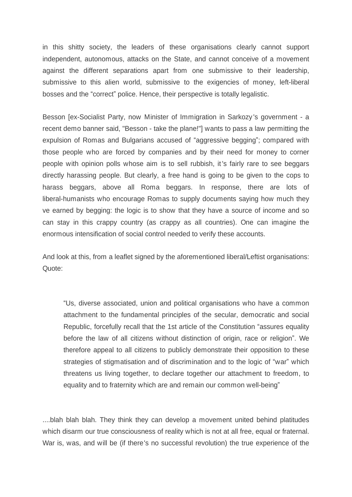in this shitty society, the leaders of these organisations clearly cannot support independent, autonomous, attacks on the State, and cannot conceive of a movement against the different separations apart from one submissive to their leadership, submissive to this alien world, submissive to the exigencies of money, left-liberal bosses and the "correct" police. Hence, their perspective is totally legalistic.

Besson [ex-Socialist Party, now Minister of Immigration in Sarkozy 's government - a recent demo banner said, "Besson - take the plane!"] wants to pass a law permitting the expulsion of Romas and Bulgarians accused of "aggressive begging"; compared with those people who are forced by companies and by their need for money to corner people with opinion polls whose aim is to sell rubbish, it 's fairly rare to see beggars directly harassing people. But clearly, a free hand is going to be given to the cops to harass beggars, above all Roma beggars. In response, there are lots of liberal-humanists who encourage Romas to supply documents saying how much they ve earned by begging: the logic is to show that they have a source of income and so can stay in this crappy country (as crappy as all countries). One can imagine the enormous intensification of social control needed to verify these accounts.

And look at this, from a leaflet signed by the aforementioned liberal/Leftist organisations: Quote:

³Us, diverse associated, union and political organisations who have a common attachment to the fundamental principles of the secular, democratic and social Republic, forcefully recall that the 1st article of the Constitution "assures equality before the law of all citizens without distinction of origin, race or religion´. We therefore appeal to all citizens to publicly demonstrate their opposition to these strategies of stigmatisation and of discrimination and to the logic of "war" which threatens us living together, to declare together our attachment to freedom, to equality and to fraternity which are and remain our common well-being"

....blah blah blah. They think they can develop a movement united behind platitudes which disarm our true consciousness of reality which is not at all free, equal or fraternal. War is, was, and will be (if there's no successful revolution) the true experience of the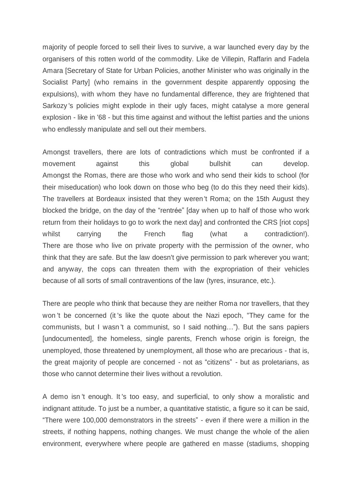majority of people forced to sell their lives to survive, a war launched every day by the organisers of this rotten world of the commodity. Like de Villepin, Raffarin and Fadela Amara [Secretary of State for Urban Policies, another Minister who was originally in the Socialist Party] (who remains in the government despite apparently opposing the expulsions), with whom they have no fundamental difference, they are frightened that Sarkozy 's policies might explode in their ugly faces, might catalyse a more general explosion - like in '68 - but this time against and without the leftist parties and the unions who endlessly manipulate and sell out their members.

Amongst travellers, there are lots of contradictions which must be confronted if a movement against this global bullshit can develop. Amongst the Romas, there are those who work and who send their kids to school (for their miseducation) who look down on those who beg (to do this they need their kids). The travellers at Bordeaux insisted that they weren 't Roma; on the 15th August they blocked the bridge, on the day of the "rentrée" [day when up to half of those who work return from their holidays to go to work the next day] and confronted the CRS [riot cops] whilst carrying the French flag (what a contradiction!). There are those who live on private property with the permission of the owner, who think that they are safe. But the law doesn't give permission to park wherever you want; and anyway, the cops can threaten them with the expropriation of their vehicles because of all sorts of small contraventions of the law (tyres, insurance, etc.).

There are people who think that because they are neither Roma nor travellers, that they won 't be concerned (it 's like the quote about the Nazi epoch, "They came for the communists, but I wasn't a communist, so I said nothing..."). But the sans papiers [undocumented], the homeless, single parents, French whose origin is foreign, the unemployed, those threatened by unemployment, all those who are precarious - that is, the great majority of people are concerned - not as "citizens" - but as proletarians, as those who cannot determine their lives without a revolution.

A demo isn 't enough. It 's too easy, and superficial, to only show a moralistic and indignant attitude. To just be a number, a quantitative statistic, a figure so it can be said, "There were 100,000 demonstrators in the streets" - even if there were a million in the streets, if nothing happens, nothing changes. We must change the whole of the alien environment, everywhere where people are gathered en masse (stadiums, shopping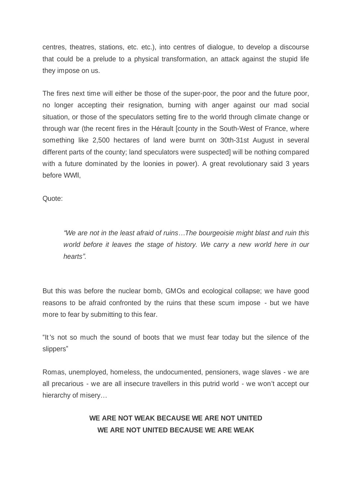centres, theatres, stations, etc. etc.), into centres of dialogue, to develop a discourse that could be a prelude to a physical transformation, an attack against the stupid life they impose on us.

The fires next time will either be those of the super-poor, the poor and the future poor, no longer accepting their resignation, burning with anger against our mad social situation, or those of the speculators setting fire to the world through climate change or through war (the recent fires in the Hérault [county in the South-West of France, where something like 2,500 hectares of land were burnt on 30th-31st August in several different parts of the county; land speculators were suspected] will be nothing compared with a future dominated by the loonies in power). A great revolutionary said 3 years before WWll,

Quote:

*³We are not in the least afraid of ruins«The bourgeoisie might blast and ruin this world before it leaves the stage of history. We carry a new world here in our hearts´.*

But this was before the nuclear bomb, GMOs and ecological collapse; we have good reasons to be afraid confronted by the ruins that these scum impose - but we have more to fear by submitting to this fear.

"It's not so much the sound of boots that we must fear today but the silence of the slippers<sup>"</sup>

Romas, unemployed, homeless, the undocumented, pensioners, wage slaves - we are all precarious - we are all insecure travellers in this putrid world - we won't accept our hierarchy of misery...

## **WE ARE NOT WEAK BECAUSE WE ARE NOT UNITED WE ARE NOT UNITED BECAUSE WE ARE WEAK**